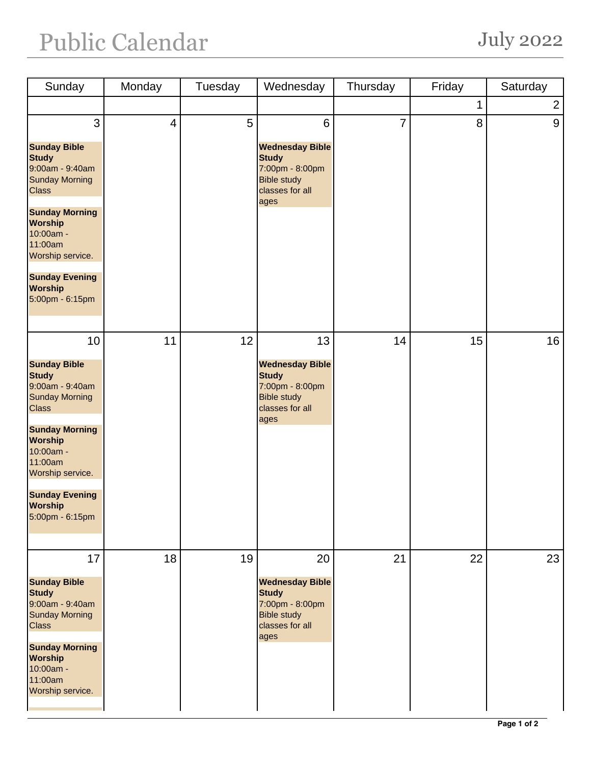## Public Calendar July 2022

| Sunday                                                                                                                                                                                                                                                     | Monday                   | Tuesday | Wednesday                                                                                                                     | Thursday       | Friday | Saturday       |
|------------------------------------------------------------------------------------------------------------------------------------------------------------------------------------------------------------------------------------------------------------|--------------------------|---------|-------------------------------------------------------------------------------------------------------------------------------|----------------|--------|----------------|
|                                                                                                                                                                                                                                                            |                          |         |                                                                                                                               |                | 1      | $\overline{2}$ |
| 3<br><b>Sunday Bible</b><br><b>Study</b><br>9:00am - 9:40am<br><b>Sunday Morning</b><br><b>Class</b><br><b>Sunday Morning</b><br><b>Worship</b><br>10:00am -<br>11:00am<br>Worship service.<br><b>Sunday Evening</b><br><b>Worship</b><br>5:00pm - 6:15pm  | $\overline{\mathcal{A}}$ | 5       | $6\phantom{1}6$<br><b>Wednesday Bible</b><br><b>Study</b><br>7:00pm - 8:00pm<br><b>Bible study</b><br>classes for all<br>ages | $\overline{7}$ | 8      | 9              |
| 10<br><b>Sunday Bible</b><br><b>Study</b><br>9:00am - 9:40am<br><b>Sunday Morning</b><br><b>Class</b><br><b>Sunday Morning</b><br><b>Worship</b><br>10:00am -<br>11:00am<br>Worship service.<br><b>Sunday Evening</b><br><b>Worship</b><br>5:00pm - 6:15pm | 11                       | 12      | 13<br><b>Wednesday Bible</b><br><b>Study</b><br>7:00pm - 8:00pm<br><b>Bible study</b><br>classes for all<br>ages              | 14             | 15     | 16             |
| 17<br><b>Sunday Bible</b><br><b>Study</b><br>9:00am - 9:40am<br><b>Sunday Morning</b><br><b>Class</b><br><b>Sunday Morning</b><br><b>Worship</b><br>10:00am -<br>11:00am<br>Worship service.                                                               | 18                       | 19      | 20<br><b>Wednesday Bible</b><br><b>Study</b><br>7:00pm - 8:00pm<br><b>Bible study</b><br>classes for all<br>ages              | 21             | 22     | 23             |